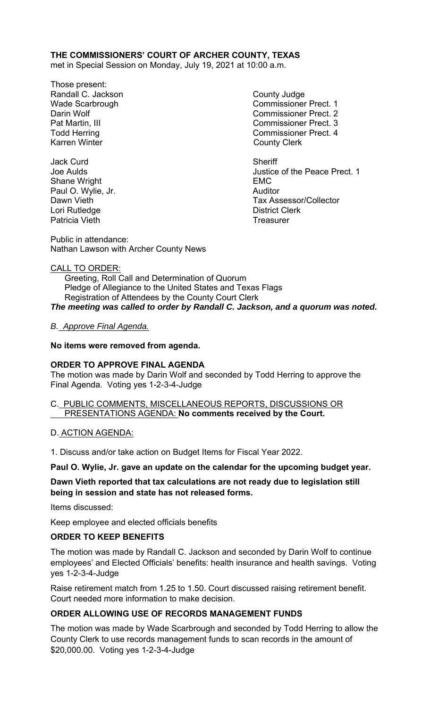# **THE COMMISSIONERS' COURT OF ARCHER COUNTY, TEXAS**

met in Special Session on Monday, July 19, 2021 at 10:00 a.m.

- Those present: Randall C. Jackson **County Judge** County Judge Karren Winter **County Clerk**
- Jack Curd **Sheriff** Shane Wright EMC Paul O. Wylie, Jr. Lori Rutledge **District Clerk** Patricia Vieth **Treasurer** Treasurer

Wade Scarbrough Commissioner Prect. 1 Darin Wolf Commissioner Prect. 2 Pat Martin, III Commissioner Prect. 3 Todd Herring Todd Exercise Commissioner Prect. 4

Joe Aulds Justice of the Peace Prect. 1 Dawn Vieth Tax Assessor/Collector

Public in attendance: Nathan Lawson with Archer County News

#### CALL TO ORDER:

 Greeting, Roll Call and Determination of Quorum Pledge of Allegiance to the United States and Texas Flags Registration of Attendees by the County Court Clerk *The meeting was called to order by Randall C. Jackson, and a quorum was noted.* 

## *B. Approve Final Agenda.*

#### **No items were removed from agenda.**

## **ORDER TO APPROVE FINAL AGENDA**

The motion was made by Darin Wolf and seconded by Todd Herring to approve the Final Agenda. Voting yes 1-2-3-4-Judge

# C. PUBLIC COMMENTS, MISCELLANEOUS REPORTS, DISCUSSIONS OR PRESENTATIONS AGENDA: **No comments received by the Court.**

#### D. ACTION AGENDA:

1. Discuss and/or take action on Budget Items for Fiscal Year 2022.

#### **Paul O. Wylie, Jr. gave an update on the calendar for the upcoming budget year.**

## **Dawn Vieth reported that tax calculations are not ready due to legislation still being in session and state has not released forms.**

Items discussed:

Keep employee and elected officials benefits

#### **ORDER TO KEEP BENEFITS**

The motion was made by Randall C. Jackson and seconded by Darin Wolf to continue employees' and Elected Officials' benefits: health insurance and health savings. Voting yes 1-2-3-4-Judge

Raise retirement match from 1.25 to 1.50. Court discussed raising retirement benefit. Court needed more information to make decision.

# **ORDER ALLOWING USE OF RECORDS MANAGEMENT FUNDS**

The motion was made by Wade Scarbrough and seconded by Todd Herring to allow the County Clerk to use records management funds to scan records in the amount of \$20,000.00. Voting yes 1-2-3-4-Judge